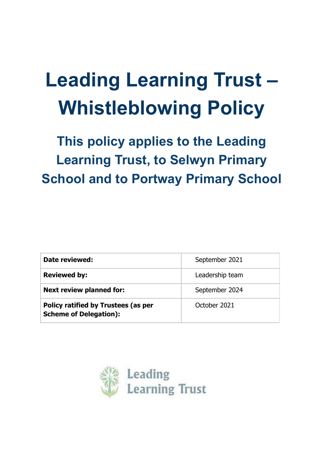# **Leading Learning Trust – Whistleblowing Policy**

**This policy applies to the Leading Learning Trust, to Selwyn Primary School and to Portway Primary School**

| Date reviewed:                                                              | September 2021  |
|-----------------------------------------------------------------------------|-----------------|
| <b>Reviewed by:</b>                                                         | Leadership team |
| <b>Next review planned for:</b>                                             | September 2024  |
| <b>Policy ratified by Trustees (as per</b><br><b>Scheme of Delegation):</b> | October 2021    |

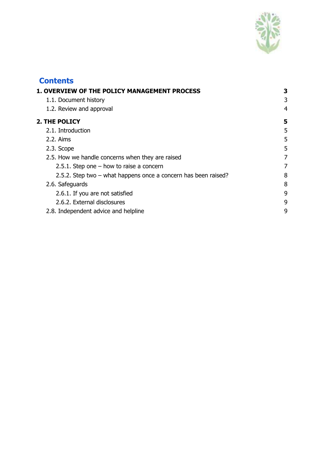

# **Contents 1. OVERVIEW OF THE POLICY [MANAGEMENT](#page-2-0) PROCESS [3](#page-2-0)** 1.1. [Document](#page-2-1) history [3](#page-2-1) 1.2. Review and [approval](#page-3-0) [4](#page-3-0) **2. THE [POLICY](#page-4-0) [5](#page-4-0)** 2.1. [Introduction](#page-4-1) [5](#page-4-1) 2.2. [Aims](#page-4-2)  $\sim$  [5](#page-4-2)  $2.3.$  [Scope](#page-4-3)  $5$ 2.5. How we handle [concerns](#page-6-0) when they are raised [7](#page-6-0) 2.5.1. Step one – how to raise a [concern](#page-6-1) [7](#page-6-1) 2.5.2. Step two – what [happens](#page-7-0) once a concern has been raised? [8](#page-7-0) 2.6. [Safeguards](#page-7-1) [8](#page-7-1) 2.6.1. If you are not [satisfied](#page-8-0) [9](#page-8-0) 2.6.2. External [disclosures](#page-8-1) [9](#page-8-1) 2.8. [Independent](#page-8-2) advice and helpline [9](#page-8-2)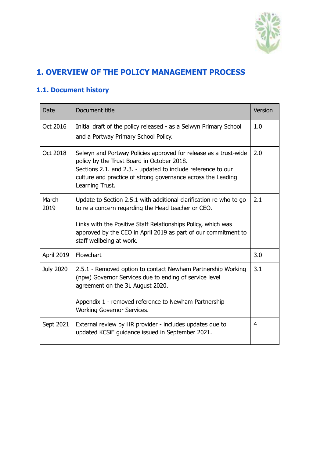

# <span id="page-2-0"></span>**1. OVERVIEW OF THE POLICY MANAGEMENT PROCESS**

# <span id="page-2-1"></span>**1.1. Document history**

| Date             | Document title                                                                                                                                                                                                                                                                          | Version |
|------------------|-----------------------------------------------------------------------------------------------------------------------------------------------------------------------------------------------------------------------------------------------------------------------------------------|---------|
| Oct 2016         | Initial draft of the policy released - as a Selwyn Primary School<br>and a Portway Primary School Policy.                                                                                                                                                                               | 1.0     |
| Oct 2018         | Selwyn and Portway Policies approved for release as a trust-wide<br>policy by the Trust Board in October 2018.<br>Sections 2.1. and 2.3. - updated to include reference to our<br>culture and practice of strong governance across the Leading<br>Learning Trust.                       | 2.0     |
| March<br>2019    | Update to Section 2.5.1 with additional clarification re who to go<br>to re a concern regarding the Head teacher or CEO.<br>Links with the Positive Staff Relationships Policy, which was<br>approved by the CEO in April 2019 as part of our commitment to<br>staff wellbeing at work. | 2.1     |
| April 2019       | Flowchart                                                                                                                                                                                                                                                                               | 3.0     |
| <b>July 2020</b> | 2.5.1 - Removed option to contact Newham Partnership Working<br>(npw) Governor Services due to ending of service level<br>agreement on the 31 August 2020.<br>Appendix 1 - removed reference to Newham Partnership<br>Working Governor Services.                                        | 3.1     |
| Sept 2021        | External review by HR provider - includes updates due to<br>updated KCSiE guidance issued in September 2021.                                                                                                                                                                            | 4       |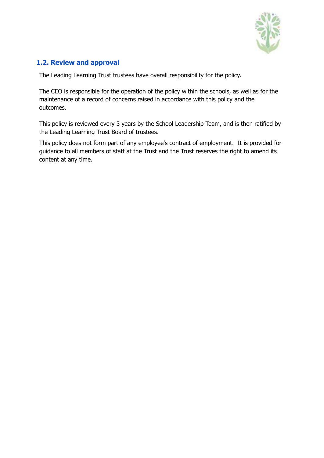

## <span id="page-3-0"></span>**1.2. Review and approval**

The Leading Learning Trust trustees have overall responsibility for the policy.

The CEO is responsible for the operation of the policy within the schools, as well as for the maintenance of a record of concerns raised in accordance with this policy and the outcomes.

This policy is reviewed every 3 years by the School Leadership Team, and is then ratified by the Leading Learning Trust Board of trustees.

This policy does not form part of any employee's contract of employment. It is provided for guidance to all members of staff at the Trust and the Trust reserves the right to amend its content at any time.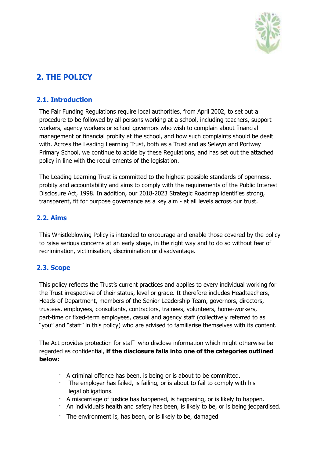

# <span id="page-4-0"></span>**2. THE POLICY**

## <span id="page-4-1"></span>**2.1. Introduction**

The Fair Funding Regulations require local authorities, from April 2002, to set out a procedure to be followed by all persons working at a school, including teachers, support workers, agency workers or school governors who wish to complain about financial management or financial probity at the school, and how such complaints should be dealt with. Across the Leading Learning Trust, both as a Trust and as Selwyn and Portway Primary School, we continue to abide by these Regulations, and has set out the attached policy in line with the requirements of the legislation.

The Leading Learning Trust is committed to the highest possible standards of openness, probity and accountability and aims to comply with the requirements of the Public Interest Disclosure Act, 1998. In addition, our 2018-2023 Strategic Roadmap identifies strong, transparent, fit for purpose governance as a key aim - at all levels across our trust.

## <span id="page-4-2"></span>**2.2. Aims**

This Whistleblowing Policy is intended to encourage and enable those covered by the policy to raise serious concerns at an early stage, in the right way and to do so without fear of recrimination, victimisation, discrimination or disadvantage.

# <span id="page-4-3"></span>**2.3. Scope**

This policy reflects the Trust's current practices and applies to every individual working for the Trust irrespective of their status, level or grade. It therefore includes Headteachers, Heads of Department, members of the Senior Leadership Team, governors, directors, trustees, employees, consultants, contractors, trainees, volunteers, home-workers, part-time or fixed-term employees, casual and agency staff (collectively referred to as "you" and "staff" in this policy) who are advised to familiarise themselves with its content.

The Act provides protection for staff who disclose information which might otherwise be regarded as confidential, **if the disclosure falls into one of the categories outlined below:**

- · A criminal offence has been, is being or is about to be committed.
- · The employer has failed, is failing, or is about to fail to comply with his legal obligations.
- · A miscarriage of justice has happened, is happening, or is likely to happen.
- · An individual's health and safety has been, is likely to be, or is being jeopardised.
- · The environment is, has been, or is likely to be, damaged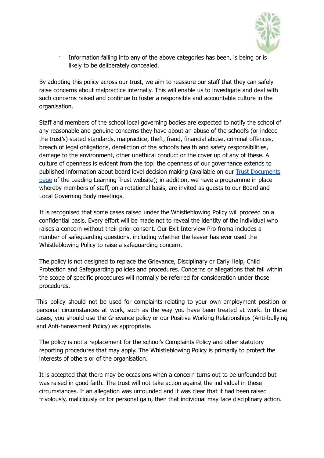

Information falling into any of the above categories has been, is being or is likely to be deliberately concealed.

By adopting this policy across our trust, we aim to reassure our staff that they can safely raise concerns about malpractice internally. This will enable us to investigate and deal with such concerns raised and continue to foster a responsible and accountable culture in the organisation.

Staff and members of the school local governing bodies are expected to notify the school of any reasonable and genuine concerns they have about an abuse of the school's (or indeed the trust's) stated standards, malpractice, theft, fraud, financial abuse, criminal offences, breach of legal obligations, dereliction of the school's health and safety responsibilities, damage to the environment, other unethical conduct or the cover up of any of these. A culture of openness is evident from the top: the openness of our governance extends to published information about board level decision making (available on our Trust [Documents](http://www.leadinglearningtrust.org/trust-documents/) [page](http://www.leadinglearningtrust.org/trust-documents/) of the Leading Learning Trust website); in addition, we have a programme in place whereby members of staff, on a rotational basis, are invited as guests to our Board and Local Governing Body meetings.

It is recognised that some cases raised under the Whistleblowing Policy will proceed on a confidential basis. Every effort will be made not to reveal the identity of the individual who raises a concern without their prior consent. Our Exit Interview Pro-froma includes a number of safeguarding questions, including whether the leaver has ever used the Whistleblowing Policy to raise a safeguarding concern.

The policy is not designed to replace the Grievance, Disciplinary or Early Help, Child Protection and Safeguarding policies and procedures. Concerns or allegations that fall within the scope of specific procedures will normally be referred for consideration under those procedures.

This policy should not be used for complaints relating to your own employment position or personal circumstances at work, such as the way you have been treated at work. In those cases, you should use the Grievance policy or our Positive Working Relationships (Anti-bullying and Anti-harassment Policy) as appropriate.

The policy is not a replacement for the school's Complaints Policy and other statutory reporting procedures that may apply. The Whistleblowing Policy is primarily to protect the interests of others or of the organisation.

It is accepted that there may be occasions when a concern turns out to be unfounded but was raised in good faith. The trust will not take action against the individual in these circumstances. If an allegation was unfounded and it was clear that it had been raised frivolously, maliciously or for personal gain, then that individual may face disciplinary action.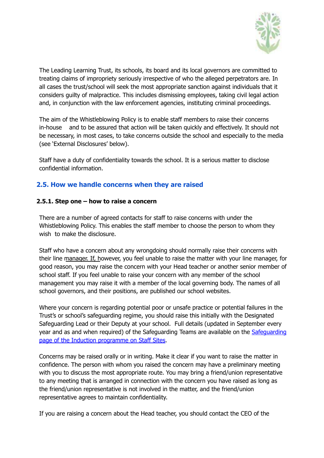

The Leading Learning Trust, its schools, its board and its local governors are committed to treating claims of impropriety seriously irrespective of who the alleged perpetrators are. In all cases the trust/school will seek the most appropriate sanction against individuals that it considers guilty of malpractice. This includes dismissing employees, taking civil legal action and, in conjunction with the law enforcement agencies, instituting criminal proceedings.

The aim of the Whistleblowing Policy is to enable staff members to raise their concerns in-house and to be assured that action will be taken quickly and effectively. It should not be necessary, in most cases, to take concerns outside the school and especially to the media (see 'External Disclosures' below).

Staff have a duty of confidentiality towards the school. It is a serious matter to disclose confidential information.

#### <span id="page-6-0"></span>**2.5. How we handle concerns when they are raised**

#### <span id="page-6-1"></span>**2.5.1. Step one – how to raise a concern**

There are a number of agreed contacts for staff to raise concerns with under the Whistleblowing Policy. This enables the staff member to choose the person to whom they wish to make the disclosure.

Staff who have a concern about any wrongdoing should normally raise their concerns with their line manager. If, however, you feel unable to raise the matter with your line manager, for good reason, you may raise the concern with your Head teacher or another senior member of school staff. If you feel unable to raise your concern with any member of the school management you may raise it with a member of the local governing body. The names of all school governors, and their positions, are published our school websites.

Where your concern is regarding potential poor or unsafe practice or potential failures in the Trust's or school's safeguarding regime, you should raise this initially with the Designated Safeguarding Lead or their Deputy at your school. Full details (updated in September every year and as and when required) of the [Safeguarding](https://sites.google.com/leadinglearningtrust.org/staffsites2019/new-staff-induction/an-introduction-to-safeguarding) Teams are available on the Safeguarding page of the Induction [programme](https://sites.google.com/leadinglearningtrust.org/staffsites2019/new-staff-induction/an-introduction-to-safeguarding) on Staff Sites.

Concerns may be raised orally or in writing. Make it clear if you want to raise the matter in confidence. The person with whom you raised the concern may have a preliminary meeting with you to discuss the most appropriate route. You may bring a friend/union representative to any meeting that is arranged in connection with the concern you have raised as long as the friend/union representative is not involved in the matter, and the friend/union representative agrees to maintain confidentiality.

If you are raising a concern about the Head teacher, you should contact the CEO of the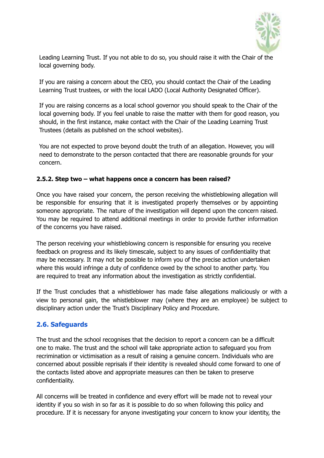

Leading Learning Trust. If you not able to do so, you should raise it with the Chair of the local governing body.

If you are raising a concern about the CEO, you should contact the Chair of the Leading Learning Trust trustees, or with the local LADO (Local Authority Designated Officer).

If you are raising concerns as a local school governor you should speak to the Chair of the local governing body. If you feel unable to raise the matter with them for good reason, you should, in the first instance, make contact with the Chair of the Leading Learning Trust Trustees (details as published on the school websites).

You are not expected to prove beyond doubt the truth of an allegation. However, you will need to demonstrate to the person contacted that there are reasonable grounds for your concern.

#### <span id="page-7-0"></span>**2.5.2. Step two – what happens once a concern has been raised?**

Once you have raised your concern, the person receiving the whistleblowing allegation will be responsible for ensuring that it is investigated properly themselves or by appointing someone appropriate. The nature of the investigation will depend upon the concern raised. You may be required to attend additional meetings in order to provide further information of the concerns you have raised.

The person receiving your whistleblowing concern is responsible for ensuring you receive feedback on progress and its likely timescale, subject to any issues of confidentiality that may be necessary. It may not be possible to inform you of the precise action undertaken where this would infringe a duty of confidence owed by the school to another party. You are required to treat any information about the investigation as strictly confidential.

If the Trust concludes that a whistleblower has made false allegations maliciously or with a view to personal gain, the whistleblower may (where they are an employee) be subject to disciplinary action under the Trust's Disciplinary Policy and Procedure.

## <span id="page-7-1"></span>**2.6. Safeguards**

The trust and the school recognises that the decision to report a concern can be a difficult one to make. The trust and the school will take appropriate action to safeguard you from recrimination or victimisation as a result of raising a genuine concern. Individuals who are concerned about possible reprisals if their identity is revealed should come forward to one of the contacts listed above and appropriate measures can then be taken to preserve confidentiality.

All concerns will be treated in confidence and every effort will be made not to reveal your identity if you so wish in so far as it is possible to do so when following this policy and procedure. If it is necessary for anyone investigating your concern to know your identity, the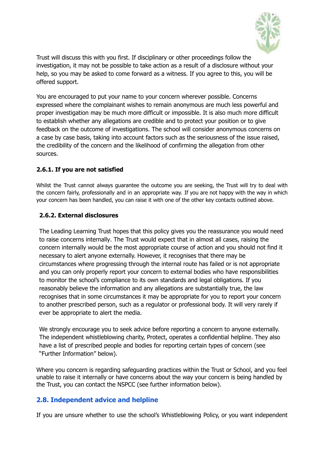

Trust will discuss this with you first. If disciplinary or other proceedings follow the investigation, it may not be possible to take action as a result of a disclosure without your help, so you may be asked to come forward as a witness. If you agree to this, you will be offered support.

You are encouraged to put your name to your concern wherever possible. Concerns expressed where the complainant wishes to remain anonymous are much less powerful and proper investigation may be much more difficult or impossible. It is also much more difficult to establish whether any allegations are credible and to protect your position or to give feedback on the outcome of investigations. The school will consider anonymous concerns on a case by case basis, taking into account factors such as the seriousness of the issue raised, the credibility of the concern and the likelihood of confirming the allegation from other sources.

#### <span id="page-8-0"></span>**2.6.1. If you are not satisfied**

Whilst the Trust cannot always guarantee the outcome you are seeking, the Trust will try to deal with the concern fairly, professionally and in an appropriate way. If you are not happy with the way in which your concern has been handled, you can raise it with one of the other key contacts outlined above.

#### <span id="page-8-1"></span>**2.6.2. External disclosures**

The Leading Learning Trust hopes that this policy gives you the reassurance you would need to raise concerns internally. The Trust would expect that in almost all cases, raising the concern internally would be the most appropriate course of action and you should not find it necessary to alert anyone externally. However, it recognises that there may be circumstances where progressing through the internal route has failed or is not appropriate and you can only properly report your concern to external bodies who have responsibilities to monitor the school's compliance to its own standards and legal obligations. If you reasonably believe the information and any allegations are substantially true, the law recognises that in some circumstances it may be appropriate for you to report your concern to another prescribed person, such as a regulator or professional body. It will very rarely if ever be appropriate to alert the media.

We strongly encourage you to seek advice before reporting a concern to anyone externally. The independent whistleblowing charity, Protect, operates a confidential helpline. They also have a list of prescribed people and bodies for reporting certain types of concern (see "Further Information" below).

Where you concern is regarding safeguarding practices within the Trust or School, and you feel unable to raise it internally or have concerns about the way your concern is being handled by the Trust, you can contact the NSPCC (see further information below).

#### <span id="page-8-2"></span>**2.8. Independent advice and helpline**

If you are unsure whether to use the school's Whistleblowing Policy, or you want independent